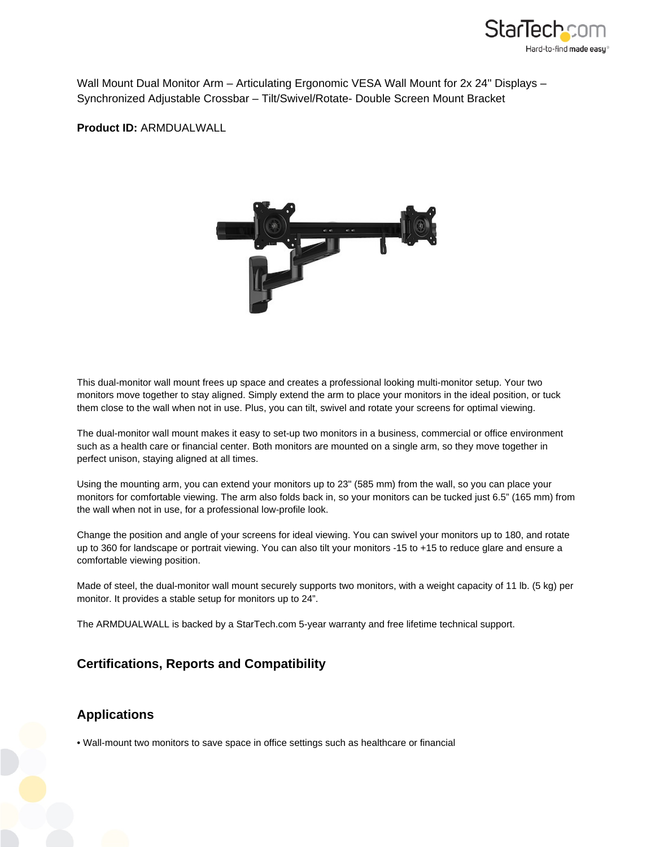

Wall Mount Dual Monitor Arm – Articulating Ergonomic VESA Wall Mount for 2x 24" Displays – Synchronized Adjustable Crossbar – Tilt/Swivel/Rotate- Double Screen Mount Bracket

**Product ID:** ARMDUALWALL



This dual-monitor wall mount frees up space and creates a professional looking multi-monitor setup. Your two monitors move together to stay aligned. Simply extend the arm to place your monitors in the ideal position, or tuck them close to the wall when not in use. Plus, you can tilt, swivel and rotate your screens for optimal viewing.

The dual-monitor wall mount makes it easy to set-up two monitors in a business, commercial or office environment such as a health care or financial center. Both monitors are mounted on a single arm, so they move together in perfect unison, staying aligned at all times.

Using the mounting arm, you can extend your monitors up to 23" (585 mm) from the wall, so you can place your monitors for comfortable viewing. The arm also folds back in, so your monitors can be tucked just 6.5" (165 mm) from the wall when not in use, for a professional low-profile look.

Change the position and angle of your screens for ideal viewing. You can swivel your monitors up to 180, and rotate up to 360 for landscape or portrait viewing. You can also tilt your monitors -15 to +15 to reduce glare and ensure a comfortable viewing position.

Made of steel, the dual-monitor wall mount securely supports two monitors, with a weight capacity of 11 lb. (5 kg) per monitor. It provides a stable setup for monitors up to 24".

The ARMDUALWALL is backed by a StarTech.com 5-year warranty and free lifetime technical support.

## **Certifications, Reports and Compatibility**

## **Applications**

• Wall-mount two monitors to save space in office settings such as healthcare or financial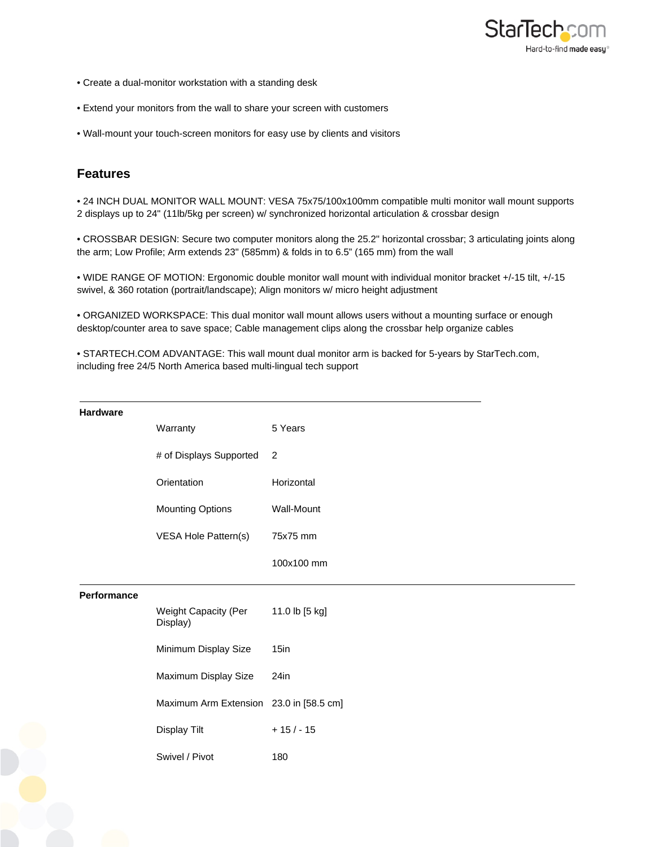

- Create a dual-monitor workstation with a standing desk
- Extend your monitors from the wall to share your screen with customers
- Wall-mount your touch-screen monitors for easy use by clients and visitors

## **Features**

• 24 INCH DUAL MONITOR WALL MOUNT: VESA 75x75/100x100mm compatible multi monitor wall mount supports 2 displays up to 24" (11lb/5kg per screen) w/ synchronized horizontal articulation & crossbar design

• CROSSBAR DESIGN: Secure two computer monitors along the 25.2" horizontal crossbar; 3 articulating joints along the arm; Low Profile; Arm extends 23" (585mm) & folds in to 6.5" (165 mm) from the wall

• WIDE RANGE OF MOTION: Ergonomic double monitor wall mount with individual monitor bracket +/-15 tilt, +/-15 swivel, & 360 rotation (portrait/landscape); Align monitors w/ micro height adjustment

• ORGANIZED WORKSPACE: This dual monitor wall mount allows users without a mounting surface or enough desktop/counter area to save space; Cable management clips along the crossbar help organize cables

• STARTECH.COM ADVANTAGE: This wall mount dual monitor arm is backed for 5-years by StarTech.com, including free 24/5 North America based multi-lingual tech support

| <b>Hardware</b> |                                         |                |
|-----------------|-----------------------------------------|----------------|
|                 | Warranty                                | 5 Years        |
|                 | # of Displays Supported                 | 2              |
|                 | Orientation                             | Horizontal     |
|                 | <b>Mounting Options</b>                 | Wall-Mount     |
|                 | VESA Hole Pattern(s)                    | 75x75 mm       |
|                 |                                         | 100x100 mm     |
| Performance     |                                         |                |
|                 | Weight Capacity (Per<br>Display)        | 11.0 lb [5 kg] |
|                 | Minimum Display Size                    | 15in           |
|                 | Maximum Display Size                    | 24in           |
|                 | Maximum Arm Extension 23.0 in [58.5 cm] |                |
|                 | Display Tilt                            | $+15/ -15$     |
|                 | Swivel / Pivot                          | 180            |
|                 |                                         |                |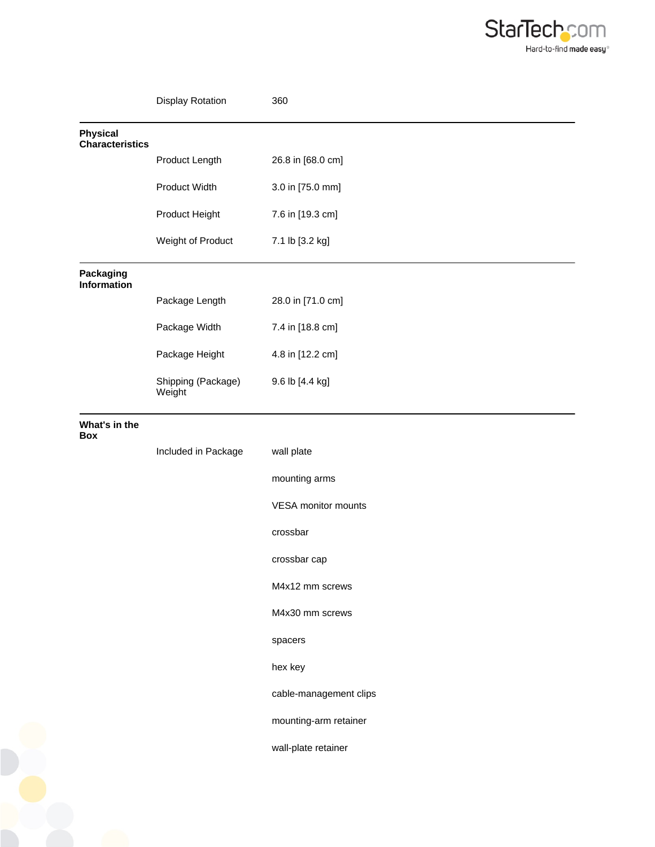

|                                           | <b>Display Rotation</b>      | 360                    |
|-------------------------------------------|------------------------------|------------------------|
| <b>Physical</b><br><b>Characteristics</b> |                              |                        |
|                                           | Product Length               | 26.8 in [68.0 cm]      |
|                                           | Product Width                | 3.0 in [75.0 mm]       |
|                                           | Product Height               | 7.6 in [19.3 cm]       |
|                                           | Weight of Product            | 7.1 lb [3.2 kg]        |
| Packaging<br>Information                  |                              |                        |
|                                           | Package Length               | 28.0 in [71.0 cm]      |
|                                           | Package Width                | 7.4 in [18.8 cm]       |
|                                           | Package Height               | 4.8 in [12.2 cm]       |
|                                           | Shipping (Package)<br>Weight | 9.6 lb [4.4 kg]        |
| What's in the<br>Box                      |                              |                        |
|                                           | Included in Package          | wall plate             |
|                                           |                              | mounting arms          |
|                                           |                              | VESA monitor mounts    |
|                                           |                              | crossbar               |
|                                           |                              | crossbar cap           |
|                                           |                              | M4x12 mm screws        |
|                                           |                              | M4x30 mm screws        |
|                                           |                              | spacers                |
|                                           |                              | hex key                |
|                                           |                              | cable-management clips |
|                                           |                              | mounting-arm retainer  |
|                                           |                              | wall-plate retainer    |
|                                           |                              |                        |
|                                           |                              |                        |
|                                           |                              |                        |